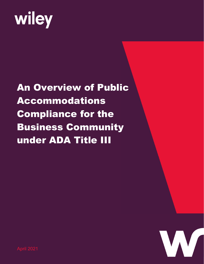# wiley

## An Overview of Public Accommodations Compliance for the Business Community under ADA Title III

April 2021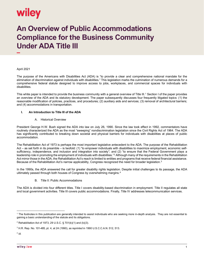### wiley

### **An Overview of Public Accommodations Compliance for the Business Community Under ADA Title III**

#### April 2021

The purpose of the Americans with Disabilities Act (ADA) is "to provide a clear and comprehensive national mandate for the elimination of discrimination against individuals with disabilities." This legislation marks the culmination of numerous demands for a comprehensive federal statute designed to improve access to jobs, workplaces, and commercial spaces for individuals with disabilities.

This white paper is intended to provide the business community with a general overview of Title III.<sup>[1](#page-1-0)</sup> Section I of the paper provides an overview of the ADA and its statutory development. The paper subsequently discusses four frequently litigated topics: (1) the reasonable modification of policies, practices, and procedures; (2) auxiliary aids and services; (3) removal of architectural barriers; and (4) accommodations in transportation.

#### **I. An Introduction to Title III of the ADA**

#### A. Historical Overview

President George H.W. Bush signed the ADA into law on July 26, 1990. Since the law took effect in 1992, commentators have routinely characterized the ADA as the most "sweeping" nondiscrimination legislation since the Civil Rights Act of 1964. The ADA has significantly contributed to breaking down societal and physical barriers for individuals with disabilities at places of public accommodation.

The Rehabilitation Act of 1973 is perhaps the most important legislative antecedent to the ADA. The purpose of the Rehabilitation Act – as set forth in its preamble – is twofold: (1) "to empower individuals with disabilities to maximize employment, economic selfsufficiency, independence, and inclusion and integration into society"; and (2) "to ensure that the Federal Government plays a leadership role in promoting the employment of individuals with disabilities."[2](#page-1-1) Although many of the requirements in the Rehabilitation Act mirror those in the ADA, the Rehabilitation Act's reach is limited to entities and programs that receive federal financial assistance. Because of the Rehabilitation Act's narrow applicability, Congress recognized the need for broader legislation.<sup>[3](#page-1-2)</sup>

In the 1990s, the ADA answered the call for greater disability rights legislation. Despite initial challenges to its passage, the ADA ultimately passed through both houses of Congress by overwhelming margins.[4](#page-1-3)

#### B. Title II: Public Accommodations

The ADA is divided into four different titles. Title I covers disability-based discrimination in employment. Title II regulates all state and local government activities. Title III covers public accommodations. Finally, Title IV addresses telecommunication services.

<span id="page-1-0"></span> $^{\rm 1}$  The footnotes in this publication are generally intended to assist individuals who are seeking more in-depth analysis. They are not essential to gaining a basic understanding of the statute and its obligations.

<span id="page-1-1"></span><sup>&</sup>lt;sup>2</sup> Rehabilitation Act of 1973, 29 U.S.C. § 701(b)(1) and (b)(3).

<span id="page-1-2"></span><sup>3</sup> H.R. Rep. No. 101-485, pt. 4, at 24 (1990), *as reprinted* in 1990 U.S.C.C.A.N. 512, 513.

<span id="page-1-3"></span><sup>4</sup> *Id.*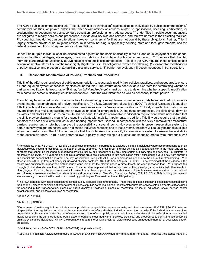The ADA's public accommodations title, Title III, prohibits discrimination<sup>[5](#page-2-0)</sup> against disabled individuals by public accommodations,<sup>[6](#page-2-1)</sup> commercial facilities, or private entities that offer "examinations or courses related to applications, licensing, certification, or credentialing for secondary or postsecondary education, professional, or trade purposes."[7](#page-2-2) Under Title III, public accommodations are obligated to modify policies and procedures, provide auxiliary aids and services, and remove barriers in their existing facilities. Provided that they do not pursue alterations, however, commercial facilities are not bound by these obligations. Further, Title III largely exempts private clubs, religious entities, multi-family housing, single-family housing, state and local governments, and the federal government from its requirements and prohibitions.

Under Title III, "[n]o individual shall be discriminated against on the basis of disability in the full and equal enjoyment of the goods, services, facilities, privileges, advantages, or accommodations of any place of public accommodation...."[8](#page-2-3) To ensure that disabled individuals are provided functionally equivalent access to public accommodations, Title III of the ADA requires these entities to take several affirmative steps. Four of the most highly litigated of Title III's obligations involve the following: (1) reasonable modifications of policy, practice, and procedure; (2) auxiliary aids and services; (3) barrier removal; and (4) accommodations in transportation.

#### **II. Reasonable Modifications of Policies, Practices and Procedures**

Title III of the ADA requires places of public accommodation to reasonably modify their policies, practices, and procedures to ensure full and equal enjoyment of services by disabled individuals.<sup>[9](#page-2-4)</sup> The statute does not provide a clear test for determining whether a particular modification is "reasonable." Rather, "an *individualized inquiry* must be made to determine whether a specific modification for a particular person's disability would be reasonable under the circumstances as well as necessary for that person."<sup>[10](#page-2-5)</sup>

Though they have not articulated precise factors for determining reasonableness, some federal courts have provided guidance for evaluating the reasonableness of a given modification. The U.S. Department of Justice's (DOJ) Technical Assistance Manual on Title III (Technical Assistance Manual) provides three illustrations of a "reasonable modification."[11](#page-2-6) First, a health clinic that occupies several floors in a multistory building has an evacuation plan for emergencies. During these emergencies, the clinic shuts down its elevators and blocks their use as an exit. In this scenario, the ADA's reasonable modification requirement would necessitate that the clinic provide alternative means for evacuating clients with mobility impairments. In addition, Title III would require that the clinic consider the needs of clients with visual and hearing impairments. Second, in compliance with the ADA's removal of architectural barriers requirement, a hotel has improved the accessibility of several rooms. However, under its present reservation system, the hotel has no way to guarantee that when a disabled individual requests one of these rooms, the room will actually be made available when the guest arrives. The ADA would require that the motel reasonably modify its reservations system to ensure the availability of the accessible room. Third, a retail store follows a policy of only taking out-of-stock merchandise orders from individuals who

<span id="page-2-2"></span>7 42 U.S.C. § 12189.

<span id="page-2-3"></span>8 42 U.S.C. § 12182(a).

<span id="page-2-0"></span> $^{\rm 5}$  Nonetheless, under 42 U.S.C. 12182(b)(3), a public accommodation is permitted to exclude a disabled individual where accommodating such an individual would pose a "direct threat to the health or safety of others." A direct threat is further defined as a substantial risk to the health and safety of others that cannot be lessened by modifying practice, policy, or procedure or by providing certain auxiliary aids and services. To illustrate, in *Montalvo v. Radcliffe*, a 12-year-old boy and his guardians brought suit against a karate association after it excluded the young boy from enrolling in a martial arts school that it operated. The boy, an individual living with AIDS, was denied admission due to the risk of him "transmitting HIV to other students through frequent bloody injuries and physical contact." 167 F.3d 873, 875 (4th Cir. 1999). In determining that the evidence in the record was sufficient to support the district court's conclusion that the plaintiff posed a direct threat, the court reasoned that HIV is transmitted through blood-to-blood contact and AIDS is fatal. The court also emphasized that karate involves the type of physical activity that often results in bloody injury. Even so, the court was careful to stress that a place of public accommodation must base its assessment of risk on individualized and informed assessments rather than stereotypes and generalizations. *See also*, *Bragdon v. Abbott*, 524 U.S. 624 (1998) (holding that remand was necessary to determine the health risk posed by providing in-office treatment to an HIV patient).

<span id="page-2-1"></span> $^{\rm 6}$  The ADA identifies 12 types of establishments that qualify as public accommodations. These include places of lodging, establishments that serve food or drink, places of exhibition of entertainment, places of public gathering, sales or rental establishments, service establishments, stations used for specified public transportation, places of public display or collection, places of recreation, places of education, social service center establishments, and places of exercise or recreation.

<span id="page-2-4"></span><sup>9</sup> Department of Justice regulations include special provisions on specialties, service animals, and check-out aisles. 28 C.F.R. § 36.302. In terms of specialties, the regulations permit a public accommodation to refer a disabled individual to another provider if the individual seeks services beyond the public accommodation's area of expertise and if the referring public accommodation would make a similar referral for a non-disabled individual seeking the same treatment. Public accommodations must modify their policies, practices, and procedures to permit the use of service animals by disabled individuals. Finally, the regulations require stores with check-out aisles to possess an adequate number of accessible checkout aisles.

<span id="page-2-5"></span><sup>10</sup> *PGA Tour, Inc. v. Martin*, 532 U.S. 661, 688 (2001) (emphasis added).

<span id="page-2-6"></span><sup>11</sup> *See* Title III Technical Assistance manual § III-4.2000, *available at* https://www.ada.gov/taman3.html [hereinafter "Technical Assistance Manual"].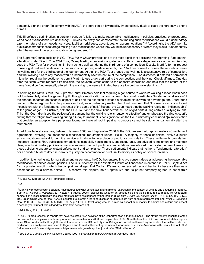personally sign the order. To comply with the ADA, the store could allow mobility-impaired individuals to place their orders via phone or mail.

Title III defines discrimination, in pertinent part, as "a failure to make reasonable modifications in policies, practices, or procedures, *when such modifications are necessary*…, unless the entity can demonstrate that making such modifications would *fundamentally alter* the nature of such goods, services, facilities, privileges, advantages, or accommodations."[12](#page-3-0) Accordingly, the ADA permits public accommodations to forego making such modifications where they would be unnecessary or where they would "fundamentally alter" the nature of the accommodation being rendered.<sup>13</sup>

The Supreme Court's decision in PGA Tour, Inc. v. Martin provides one of the most significant decisions<sup>[14](#page-3-2)</sup> interpreting "fundamental alteration" under Title III.[15](#page-3-3) In *PGA Tour*, Casey Martin, a professional golfer who suffers from a degenerative circulatory disorder, sued the PGA Tour for preventing him from using a golf cart during the third round of a competition. Despite Martin's formal request to use a golf cart and his detailed submission of supporting medical records, the PGA Tour refused to review the records or waive its walking rule for the third stage of the tournament. At trial, the PGA Tour argued that "walking is a substantive rule of competition, and that waiving it as to any reason would fundamentally alter the nature of the competition." The district court entered a permanent injunction requiring the petitioner to permit Martin to use a golf cart during the competition, and the Ninth Circuit affirmed. One day after the Ninth Circuit rendered its decision, the Seventh Circuit came to the opposite conclusion and held that the nature of the game "would be fundamentally altered if the walking rule were eliminated because it would remove stamina…."

In affirming the Ninth Circuit, the Supreme Court ultimately held that requiring a golf course to waive its walking rule for Martin does not fundamentally alter the game of golf. Though a modification of tournament rules could constitute a "fundamental alteration" if the change impacted an essential aspect of golf or if the alteration provided a disabled player with an advantage, the Court found neither of these arguments to be persuasive. First, as a preliminary matter, the Court reasoned that "the use of carts is not itself inconsistent with the fundamental character of the game of golf." Second, the Court noted that the walking rule is not "indispensable" to the game of golf. To illustrate, both the PGA Tour and the Nike Tour permit the use of golf carts during certain qualifying rounds. Third, the Court dismissed the petitioner's argument that the walking rule is "outcome effective" and emphasized the district court's finding that the fatigue from walking during a 4-day tournament is not significant. As the Court ultimately concluded, "[a] modification that provides an exception to a peripheral tournament rule without impairing its purpose cannot be said to 'fundamentally alter' the tournament."

Apart from federal case law, between January 2000 and September 2006,<sup>[16](#page-3-4)</sup> the DOJ entered into approximately 40 settlement agreements involving the "reasonable modification" requirement under Title III. A majority of these decisions involve a public accommodation's refusal to permit a service animal's entry in a place of public accommodation. These settlements provide two important lessons: First, public accommodations, especially hotels, motels, and restaurants, are advised to implement and maintain clear, nondiscriminatory policies on service animals. Second, public accommodations are advised to educate their employees on these policies to ensure consistent enforcement and compliance. These settlements indicate that neither a "fundamental alteration" nor an "undue burden" defense is likely to justify an accommodation's refusal to modify its policy on service animals.

In addition to entering into formal settlement agreements, the DOJ has entered into two consent decrees addressing the reasonable modification of service animal policies. The U.S. Attorney for the Western District of Tennessee intervened in *Bell v. Captain D's Inc*., a private lawsuit in which the complainant alleged that Captain D's restaurant evicted her and her family because they were accompanied by a service animal.[17](#page-3-5) To resolve this dispute, both Captain D's and its parent company agreed to better train

<span id="page-3-1"></span><sup>13</sup> *Id.*

<span id="page-3-0"></span> $12$  42 U.S.C. 12182(b)(2)(A)(ii) (emphasis added).

<span id="page-3-2"></span><sup>&</sup>lt;sup>14</sup> Many lower federal court decisions have addressed what constitutes a fundamental alteration in the context of athletic and academic programs. *See*, *e.g.*, *Kuketz v. Petronelli*, 821 N.E.2d 473 (Mass. 2005) (discussing whether an athletic club should be required to modify its racquetball competition rules to permit a wheelchair athlete to have two bounces rather than one); *Bowers v. Nat'l Col. Athletic Ass'n*, 974 F. Supp. 459 (D.N.J. 1997) (examining whether the NCAA is obligated to exempt a learning-disabled student athlete from certain requirements); and *White v. Creighton Univ.*, 2006 U.S. Dist. LEXIS 56500 (D. Neb. Aug. 11, 2006) (evaluating whether a medical school must modify its admissions criteria and accept a second-year student who allegedly suffers from depression).

<span id="page-3-3"></span><sup>15</sup> *PGA Tour*, 532 U.S. at 661.

<span id="page-3-4"></span><sup>&</sup>lt;sup>16</sup> The DOJ produces status reports that cover selected ADA activities of the Department on a triannual basis. The status reports consulted for the purpose of this analysis cover those produced between January 2000 and September 2006. Nonetheless, the DOJ has produced status reports since 1994. Additionally, though these status reports cover DOJ activity in ADA litigation, formal settlement agreements, other settlements, and mediation, this analysis is restricted to litigation and formal settlement agreements. Department of Justice Americans with Disabilities Act: ADA Settlements and Consent Agreements, https://www.ada.gov/statrpt.htm [hereinafter "Status Reports"].

<span id="page-3-5"></span><sup>17</sup> *See Bell v. Captain D's Inc.* Consent Decree (2001), *available at* <http://www.ada.gov/octdec01.htm>*.*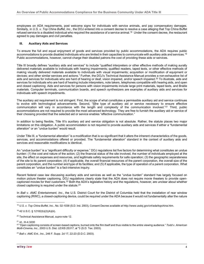employees on ADA requirements, post welcome signs for individuals with service animals, and pay compensatory damages. Similarly, in *U.S. v. Top China Buffet, Inc.*, the DOJ entered into a consent decree to resolve a case alleging that Top China Buffet refused service to a disabled individual who required the assistance of a service animal.[18](#page-4-0) Under the consent decree, the restaurant agreed to pay damages and civil penalties.

#### **III. Auxiliary Aids and Services**

To ensure the full and equal enjoyment of goods and services provided by public accommodations, the ADA requires public accommodations to provide disabled individuals who are limited in their capacities to communicate with auxiliary aids and services.[19](#page-4-1) Public accommodations, however, cannot charge their disabled patrons the cost of providing these aids or services.

Title III broadly defines "auxiliary aids and services" to include "qualified interpreters or other effective methods of making aurally delivered materials available to individuals with hearing impairments; qualified readers, taped texts, or other effective methods of making visually delivered materials available to individuals with visual impairments; acquisition or modification of equipment or devices; and other similar services and actions." Further, the DOJ's Technical Assistance Manual provides a non-exhaustive list of aids and services for individuals who are hard of hearing or deaf, vision impaired, and/or speech impaired.<sup>[20](#page-4-2)</sup> To illustrate, aids and services for individuals who are hard of hearing include interpreters, note takers, telephones compatible with hearing aids, and open and closed captioning. Aids and services for persons with vision impairments include large print materials, taped texts, and Braille materials. Computer terminals, communication boards, and speech synthesizers are examples of auxiliary aids and services for individuals with speech impediments.

The auxiliary aid requirement is not stringent. First, the scope of what constitutes a permissible auxiliary aid and service continues to evolve with technological advancements. Second, "[t]he type of auxiliary aid or service necessary to ensure effective communication will vary in accordance with the length and complexity of the communication involved."[21](#page-4-3) Third, public accommodations are not required to provide the most advanced technology. They are free to furnish the auxiliary aid or service of their choosing provided that the selected aid or service enables "effective communication."

In addition to being flexible, Title III's auxiliary aid and service obligation is not absolute. Rather, the statute places two major limitations on this obligation. A public accommodation is not required to provide auxiliary aids and services if either a "fundamental alteration" or an "undue burden" would result.

Under Title III, a "fundamental alteration" is a modification that is so significant that it alters the inherent characteristics of the goods, services, and accommodations offered or provided. The "fundamental alteration" standard in the context of auxiliary aids and services and reasonable modifications is identical.

An "undue burden" is a "significant difficulty or expense." DOJ regulations list five factors for determining what constitutes an undue burden: (1) the cost and nature of the action; (2) the financial status of the site involved, the number of individuals employed at the site, the effect on expenses and resources, and legitimate safety requirements for safe operation; (3) the geographic separateness of the site to its parent corporation; (4) if applicable, the overall financial resources of the parent corporation, the overall size of the parent corporation, and the number and type of its facilities; and (5) if applicable, the type of operation of a parent corporation. What constitutes an "undue burden" is a fact-intensive inquiry.

Recent federal case law discussing auxiliary aids and services as well as the "undue burden" standard has largely focused on motion picture theater captioning. DOJ regulations clearly state that the ADA does not require movie theaters to provide opencaptioned movies for their customers.[22](#page-4-4) Both the ADA's legislative history and the regulations, however, are unclear about whether closed captioning is required under the statute.[23](#page-4-5)

In *Ball v. AMC Entertainment, Inc*., the U.S. District Court for the District of Columbia held that the installation of rear window captioning (RWC), a closed-captioning device, could be required under the ADA because it would not fundamentally alter the nature

<span id="page-4-0"></span><sup>18</sup> *U.S. v. Top China Buffet, Inc.*, No. 02-1038 (S.D. Ind. 2003), Consent Decree *available at* <http://www.usdoj.gov/crt/ada/topchina.htm.>

<span id="page-4-1"></span><sup>19 42</sup> U.S.C. § 12182(b)(2)(A)(iii).

<span id="page-4-2"></span><sup>20</sup> Technical Assistance Manual, *supra* note 12.

<span id="page-4-3"></span><sup>21</sup> *Id.*, III-4.3200

<span id="page-4-4"></span><sup>22 &</sup>quot;Open captioning consists of screen-based captions, burned onto the film itself and thus visible to the entire viewing audience." *Todd v. American Multi-Cinema, Inc.,* 2003 U.S. Dist. LEXIS 25317, at \*3 (S.D. Tex. 2003).

<span id="page-4-5"></span><sup>23</sup> *Ball v. AMC Ent., Inc.*, 246 F. Supp. 2d 17, 22-23 (D.D.C. 2003).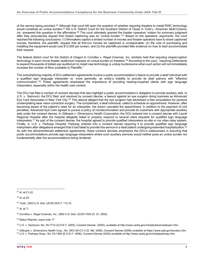of the service being provided.<sup>[24](#page-5-0)</sup> Although that court left open the question of whether requiring theaters to install RWC technology would constitute an undue burden,[25](#page-5-1) the U.S. District Court for the Southern District of Texas in *Todd v. American Multi-Cinema, Inc*. answered this question in the affirmative.[26](#page-5-2) The court ultimately granted the theater operators' motion for summary judgment after they persuasively argued that closed captioning was an "undue burden."[27](#page-5-3) Based on the operators' arguments, the court reached the following conclusions: (1) filmmakers caption a limited number of movies and theater operators have to share captioned movies; therefore, the plaintiffs' request that all first-run movies be captioned is unreasonable; (2) the cost of purchasing and installing the equipment would cost \$12,500 per screen; and (3) the plaintiffs provided little evidence on how to best accommodate their request.

The federal district court for the District of Oregon in *Cornilles v. Regal Cinemas, Inc*. similarly held that requiring closed-caption technology in each movie theater auditorium imposes an undue burden on theaters.<sup>[28](#page-5-4)</sup> According to the court, "requiring Defendants to expend thousands of dollars per auditorium to install new technology is unduly burdensome when such action will not immediately increase the number of films available to Plaintiffs."

The overwhelming majority of DOJ settlement agreements involve a public accommodation's failure to provide a deaf individual with a qualified sign language interpreter or, more generally, an entity's inability to provide its deaf patrons with "effective communication."[29](#page-5-5) These agreements emphasize the importance of providing hearing-impaired clients with sign language interpreters, especially within the health care context.

The DOJ has filed a number of consent decrees that also highlight a public accommodation's obligation to provide auxiliary aids. In *U.S. v. Saimovici*, the DOJ filed, and resolved by consent decree, a lawsuit against an eye surgeon doing business as Advanced Eye Care Associates in New York City[.30](#page-5-6) This lawsuit alleged that the eye surgeon had advertised a free consultation for persons contemplating laser vision correction surgery. The complainant, a deaf individual, called to schedule an appointment. However, after becoming aware of the patient's need for an interpreter, the doctor canceled the appointment. In addition to the payment of civil penalties, Advanced Eye Care agreed to pursue a policy of nondiscrimination and provide its customers with appropriate auxiliary aids under the consent decree. In *Gillespie v. Dimensions Health Corporation*, the DOJ entered into a consent decree with Laurel Regional Hospital after the hospital allegedly failed to properly respond to several client requests for qualified sign language interpreters.[31](#page-5-7) As part of the consent decree, the hospital agreed to provide qualified interpreters on-site or via video relay system. Finally, in *U.S. v. Parkway Hospital*, Parkway entered into a consent decree requiring it to provide qualified sign language interpreters after allegations emerged that it had failed to provide this service to a deaf patient undergoing extended hospitalization.<sup>[32](#page-5-8)</sup> As with the aforementioned settlement agreements, these consent decrees emphasize the DOJ's zealousness in ensuring that public accommodations provide sign language interpreters where such auxiliary services would neither pose an undue burden nor fundamentally alter the accommodations being rendered.

<span id="page-5-0"></span><sup>24</sup> *Id*. at 21-22.

<span id="page-5-1"></span><sup>25</sup> *Id.* at 25.

<span id="page-5-2"></span><sup>26</sup> *Todd.,* 2003 U.S. Dist. LEXIS 25317, \*13-15.

<span id="page-5-3"></span><sup>27</sup> *Id.* at \*1.

<span id="page-5-4"></span><sup>28</sup> *Cornilles v. Regal Cinemas, Inc.*, 2002 U.S. Dist. LEXIS 7025 (D. Or. 2002).

<span id="page-5-5"></span><sup>29</sup> Status Reports, *supra* note 17.

<span id="page-5-6"></span>*<sup>30</sup> U.S. v. Saimovici*, No. 05-7712 (S.D.N.Y. 2005), Consent Decree (2005)*, available at* <http://www.usdoj.gov/crt/ada/advancedeyecr.htm>*.*

<span id="page-5-8"></span><span id="page-5-7"></span><sup>31</sup> *Gillespie v. Dimensions Health Corp.*, No. DKC-05-CV-3 (D. Md. 2006), Consent Decree (2006) *available at* https://www.ada.gov/laurelco.htm. <sup>32</sup> *U.S. v. Parkway Hosp.*, No. 03-1565 (E.D.N.Y. 2006)*,* Consent Decree (2004) *available at* <http://www.usdoj.gov/crt/ada/parkway.htm>*.*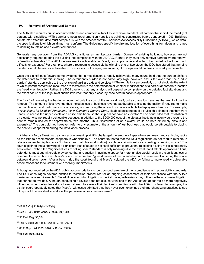#### **IV. Removal of Architectural Barriers**

The ADA also requires public accommodations and commercial facilities to remove architectural barriers that inhibit the mobility of persons with disabilities.<sup>[33](#page-6-0)</sup> This barrier removal requirement only applies to buildings constructed before January 26, 1993. Buildings constructed after that date must comply fully with the Americans with Disabilities Act Accessibility Guidelines (ADAAG), which detail the specifications to which buildings must conform. The Guidelines specify the size and location of everything from doors and ramps to drinking fountains and elevator call buttons.

Generally, any deviation from the ADAAG constitutes an architectural barrier. Owners of existing buildings, however, are not necessarily required to bring the building into compliance with the ADAAG. Rather, they must only remove barriers where removal is "readily achievable." The ADA defines readily achievable as "easily accomplishable and able to be carried out without much difficulty or expense." For example, where a restroom is accessible by climbing one or two steps, the DOJ has stated that ramping the steps would be readily achievable in most cases. But ramping an entire flight of steps would not likely be readily achievable.

Once the plaintiff puts forward some evidence that a modification is readily achievable, many courts hold that the burden shifts to the defendant to rebut this showing. The defendant's burden is not particularly high, however, and is far lower than the "undue burden" standard applicable to the provision of auxiliary aids and services.<sup>[34](#page-6-1)</sup> The regulations purposefully do not elucidate the extent to which parent corporation resources are factored into the determination of whether modifications at a particular corporate location are "readily achievable." Rather, the DOJ cautions that "any analysis will depend so completely on the detailed fact situations and the exact nature of the legal relationship involved" that only a case-by-case determination is appropriate.<sup>[35](#page-6-2)</sup>

The "cost" of removing the barrier includes not only the cost of the removal itself, but also any lost revenue that results from the removal. The amount of lost revenue thus includes loss of business revenue attributable to closing the facility, if required to make the modification, and particularly in retail stores, from reducing the amount of space available to display merchandise. For example, in *Association for Disabled Americans, Inc. v. Concorde Gaming Corp*., disabled passengers of a cruise ship claimed that they were unable to access the upper levels of a cruise ship because the ship did not have an elevator.<sup>36</sup> The court ruled that installation of an elevator was not readily achievable because, in addition to the \$200,000 cost of the elevator itself, installation would require the boat to remain docked for approximately two months. Thus, "installation of an elevator would be both extremely difficult and expensive." The court did not, however, refer to any estimate of the amount of lost business that would be attributable to placing the boat out of operation during the installation process.

In *Lieber v. Macy's West, Inc*., a class action lawsuit, plaintiffs challenged the amount of space between merchandise display racks as too little to accommodate shoppers in wheelchairs.<sup>[37](#page-6-4)</sup> The court first noted that the DOJ regulations do not require retailers to relocate movable display racks "to the extent that [this modification] results in a significant loss of selling or serving space." The court explained that a showing of a significant loss of space is not itself sufficient to prove that relocating display racks is not readily achievable. Rather, the "'significant loss of selling space' standard is only meaningful to the extent that it affects operations." Thus, defendants must submit credible evidence that a reduction in available space for merchandise would result in a significant loss of revenue. In *Lieber*, however, Macy's offered no more than "guesstimates" of the potential impact on revenue of widening the space between display racks. After a bench trial, the court found that Macy's violated the ADA by failing to make readily achievable accommodations for customers with mobility impairments.

Although not required by the ADA, public accommodations should conduct a review of their compliance with accessibility standards. The DOJ encourages covered entities to "establish procedures for an ongoing assessment of their compliance with the ADA's barrier removal requirements."<sup>38</sup> In addition to avoiding litigation in the first place, self-reviews may influence the outcome of litigation that cannot be avoided. Although conducting a review does not excuse violations of the Act, courts appear to be more negatively influenced when defendants do not even attempt to assess their facilities' compliance with the ADA. In *Lieber*, for example, the district court repeatedly noted that Macy's "witnesses admitted that they never even examined their merchandizing practices to see if they could be modified to address the pervasive access barriers issue."

<span id="page-6-0"></span><sup>33 42</sup> U.S.C. § 12182(b)(2)(A)(iv).

<span id="page-6-1"></span><sup>34</sup> *See* S. 933, 101st Cong. § 302(b)(2)(A)(iii).

<span id="page-6-2"></span><sup>35 56</sup> Fed. Reg. 35,554.

<span id="page-6-3"></span><sup>36</sup> 158 F. Supp. 2d 1353, 1365 (S.D. Fla. 2001).

<span id="page-6-4"></span><sup>37 80</sup> F. Supp. 2d 1065, 1078 (N.D. Cal. 1999).

<span id="page-6-5"></span><sup>38 56</sup> Fed. Reg. 35,569.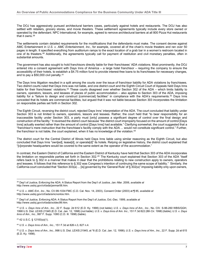The DOJ has aggressively pursued architectural barriers cases, particularly against hotels and restaurants. The DOJ has also settled with retailers, grocery stores, and movie theaters. These settlement agreements typically include every store owned or operated by the defendant. NPC International, for example, agreed to remove architectural barriers at all 800 Pizza Hut restaurants that it owns.[39](#page-7-0)

The settlements contain detailed requirements for the modifications that the defendants must make. The consent decree against AMC Entertainment in *U.S. v. AMC Entertainment, Inc.*, for example, covered all of the chain's movie theaters and ran over 50 pages in length. It specified everything from auditorium ramps to the exact location of a grab bar in a women's restroom located in one of its theaters.[40](#page-7-1) Additionally, the agreements typically call for payment of restitution and civil monetary penalties, often in substantial amounts.

The government has also sought to hold franchisors directly liable for their franchisees' ADA violations. Most prominently, the DOJ entered into a consent agreement with Days Inns of America – a large hotel franchisor – requiring the company to ensure the accessibility of their hotels, to establish a \$4.75 million fund to provide interest-free loans to its franchisees for necessary changes, and to pay a \$50,000 civil penalty.[41](#page-7-2)

The Days Inns litigation resulted in a split among the courts over the issue of franchisor liability for ADA violations by franchisees. Two district courts ruled that Days Inns was not liable, and one district court and the Eighth Circuit Court of Appeals held Days Inns liable for their franchisees' violations.[42](#page-7-3) These courts disagreed over whether Section 302 of the ADA – which limits liability to owners, operators, lessors, and lessees of places of public accommodation – also applies to Section 303 of the ADA, imposing liability for a "failure to design and construct [commercial] facilities" in compliance with the ADA's requirements.[43](#page-7-4) Days Inns conceded that its hotels are commercial facilities, but argued that it was not liable because Section 303 incorporates the limitation on responsible parties set forth in Section 302.

The Eighth Circuit, reversing the district court, rejected Days Inns' interpretation of the ADA. The court concluded that liability under Section 303 is not limited to owners, operators, lessors and lessees. Rather, the court held that "to bear responsibility for an inaccessible facility under Section 303, a party must [only] possess a significant degree of control over the final design and construction of the facility." It reversed the district court because "the district court improperly focused on the amount of control [Days Inns] actually exerted rather than the amount of control [Days Inns] had available." Clarifying somewhat, the court suggested that a "franchisor's mere instruction that the franchisee's facility comply with the ADA ... would not constitute significant control." Further, the franchisor is not liable, the court explained, when it has no knowledge of the violation.<sup>[44](#page-7-5)</sup>

The district court for the Central District of Illinois held Days Inns liable using similar reasoning as the Eighth Circuit, but also concluded that Days Inns "own[ed], lease[d], or operate[d]" its hotels. Relying on legislative history, the district court explained that "[c]orporate headquarters would be covered to the same extent as the operator of the accommodation."

In contrast, the Eastern District of California and the Eastern District of Kentucky have held that Section 303 of the ADA incorporates the limitation on responsible parties set forth in Section 302.[45](#page-7-6) The Kentucky court explained that Section 303 of the ADA "itself refers back to § 302 in a manner that makes it clear that the prohibitions relating to new construction apply to owners, operators and lessees. It follows that this reference to § 302 was Congress's intention of continuing the same scope of liability." Similarly, the California court concluded that "Section 303(a) ... [is] governed by the 'General Rule' of § 302(a)" imposing liability only upon owners,

<span id="page-7-4"></span><sup>43</sup> 42 U.S.C. § 12183(a)(1).

<span id="page-7-5"></span><sup>44</sup> *U.S. v. Days Inns of Am., Inc.*, 151 F.3d at 826 n.3, 827 n.4.

<span id="page-7-0"></span><sup>39</sup> Dep't of Justice, Enforcing the ADA: A Status Report from the Dep't of Justice, Jan.-Mar. 2006, *available at* [http://www.usdoj.gov/crt/ada/janmar06.htm.](http://www.usdoj.gov/crt/ada/janmar06.htm)

<span id="page-7-1"></span><sup>40</sup> *U.S. v. AMC Ent., Inc.*, No. CV-99-1034 FMC (C.D. Cal. Nov. 14, 2003), Consent Order (2003) at ¶ 85, *available at*  [http://www.usdoj.gov/crt/ada/amcnonlos.htm.](http://www.usdoj.gov/crt/ada/amcnonlos.htm)

<span id="page-7-2"></span><sup>41</sup> Dep't of Justice, Enforcing ADA: A Status Report from the Dep't of Justice, Oct.-Dec. 1999, *available at*  [http://www.usdoj.gov/crt/ada/octdec99.htm.](http://www.usdoj.gov/crt/ada/octdec99.htm)

<span id="page-7-3"></span><sup>42</sup> *U.S. v. Days Inns of Am., Inc.*, 22 F. Supp. 2d 612 (E.D. Ky. 1998) (not liable); *U.S. v. Days Inns of Am., Inc.*, No. CIV. S-96-260 WBS/GGH, 1998 U.S. Dist. LEXIS 21945 (E.D. Cal. Jan. 12, 1998) (not liable); *U.S. v. Days Inns of Am. Inc.*, 151 F.3d 822 (8th Cir. 1998) (liable); *U.S. v. Days Inns of Am., Inc.*, 997 F. Supp. 1080 (C.D. Ill. 1998) (liable).

<span id="page-7-6"></span><sup>45</sup> *U.S. v. Days Inns of Am., Inc.*, 998 U.S. Dist. LEXIS 21945, at \*6 (E.D. Cal. Jan. 12, 1998); *U.S. v. Days Inns of Am., Inc.*, 22 F. Supp. 2d at 615 (E.D. Ky. 1998).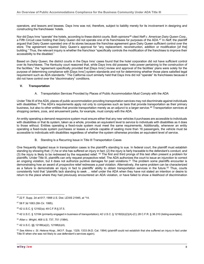operators, and lessors and lessees. Days Inns was not, therefore, subject to liability merely for its involvement in designing and constructing the franchisees' hotels.

Nor did Days Inns "operate" the hotels, according to these district courts. Both opinions<sup>46</sup> cited *Neff v. American Dairy Queen Corp.*, a Fifth Circuit case holding that Dairy Queen did not operate one of its franchisees for purposes of the ADA.[47](#page-8-1) In *Neff*, the plaintiff argued that Dairy Queen operated one of its stores because the franchise agreement gave Dairy Queen sufficient control over the store. The agreement required Dairy Queen's approval for "any replacement, reconstruction, addition or modification [of the] building." Thus, the relevant inquiry is whether the franchisor "specifically controls the modification of the franchises to improve their accessibility to the disabled."

Based on *Dairy Queen*, the district courts in the Days Inns' cases found that the hotel corporation did not have sufficient control over its franchisees. The Kentucky court reasoned that, while Days Inns did possess "veto power pertaining to the construction of the facilities," the "agreement specifically provided that [Days Inns'] review and approval of the facilities' plans were solely for the purpose of determining compliance with [Days Inns'] system standards and not for determining whether those plans satisfied legal requirement such as ADA standards." The California court similarly held that Days Inns did not "operate" its franchisees because it did not have control over the "discriminatory" conditions.

#### **V. Transportation**

A. Transportation Services Provided by Places of Public Accommodation Must Comply with the ADA

Under Title III of the ADA, places of public accommodation providing transportation services may not discriminate against individuals with disabilities.<sup>[48](#page-8-2)</sup> The ADA's requirements apply not only to companies such as taxis that provide transportation as their primary business, but also to other entities that provide transportation merely as an adjunct to a larger service.[49](#page-8-3) Transportation services at shopping centers, zoos, and amusement parks, for example, must comply with the ADA.

An entity operating a demand-responsive system must ensure either that any new vehicles it purchases are accessible to individuals with disabilities or that its system, taken as a whole, provides an equivalent level to service to individuals with disabilities as it does to those without. Entities operating a fixed-route system must meet the same requirements. Additionally, whenever an entity operating a fixed-route system purchases or leases a vehicle capable of seating more than 16 passengers, the vehicle must be accessible to individuals with disabilities regardless of whether the system otherwise provides an equivalent level of service.

B. Standing Is a Recurring Issue in Title III Transportation Cases

One frequently litigated issue in transportation cases is the plaintiff's standing to sue. In federal court, the plaintiff must establish standing by showing that: (1) he or she has suffered an injury in fact; (2) the injury is fairly traceable to the defendant's conduct; and (3) the injury is likely to be redressed by the requested relief. <sup>[50](#page-8-4)</sup> The first and third prongs of this test often present a problem for plaintiffs. Under Title III, plaintiffs can only request prospective relief. The ADA authorizes the court to issue an injunction to correct an ongoing violation, but it does not authorize punitive damages for past violations.[51](#page-8-5) The problem some plaintiffs encounter is demonstrating how an award of *prospective* relief redresses a *past* violation. Alternatively, the same problem can be characterized as a failure to demonstrate an injury in fact to plaintiffs' ability to obtain transportation services in the future.<sup>[52](#page-8-6)</sup> Thus, courts consistently hold that "plaintiffs lack standing to seek ... relief under the ADA when they have not stated an intention or desire to return to the place where they had previously encountered an ADA violation, or have failed to show a likelihood of discrimination

<span id="page-8-0"></span><sup>46 22</sup> F. Supp. 2d at 617; 1998 U.S. Dist. LEXIS 21945, at \*14.

<span id="page-8-1"></span><sup>47 58</sup> F.3d 1063 (5th Cir. 1995).

<span id="page-8-2"></span><sup>48 42</sup> U.S.C. § 12182(a); 49 C.F.R.§ 37.5.

<span id="page-8-3"></span><sup>49 42</sup> U.S.C. § 12184 (primarily engaged in business of transportation); 42 U.S.C. § 12182(b)(2)(A)-(C); 28 C.F.R. § 36.310 (listing examples).

<span id="page-8-4"></span><sup>50</sup> *Allan v. Wright*, 468 U.S. 737, 751 (1984).

<span id="page-8-5"></span><sup>51 42</sup> U.S.C. §§ 12188(a)(2), 12188(b)(4).

<span id="page-8-6"></span><sup>52</sup> *See Aikins v. St. Helena Hosp.*, 843 F. Supp. 1329, 1333 (N.D. Cal. 1994) (plaintiff could not establish that she suffered an injury in fact under Title III when she was not likely to use defendant's services again).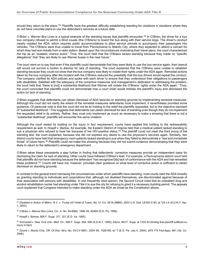should they return to the place."<sup>[53](#page-9-0)</sup> Plaintiffs have the greatest difficulty establishing standing for violations in situations where they do not have concrete plans to use the defendant's services at a future date.

*O'Brien v. Werner Bus Lines* is a typical example of the standing issues that plaintiffs encounter[.54](#page-9-1) In *O'Brien*, the driver for a tour bus company refused to permit a blind couple (the O'Briens) to board the bus along with their service dogs. The driver's conduct clearly violated the ADA, which requires public accommodations to allow service animals to accompany their passengers into vehicles. The O'Briens were thus unable to travel from Pennsylvania to Atlantic City, where they expected to attend a concert for which they had won tickets from a radio station. Based upon the circumstances motivating their travel plans, the court characterized the trip as an "isolated, chance event." Thus, the court held that the O'Briens lacked standing because they made no "specific allegations" that "they are likely to use Werner buses in the near future."

The court went on to say that even if the plaintiffs could demonstrate that they were likely to use the bus service again, their lawsuit still would not survive a motion to dismiss for lack of standing. The court explained that the O'Briens were unable to establish standing because they could not show that the bus company was likely to violate their rights under the ADA again. Remedial actions taken by the bus company after the incident with the O'Briens reduced the possibility that the bus drivers would repeat this conduct. The company clarified its ADA policies and spoke with each driver to ensure that they understood their obligations to passengers with disabilities. Satisfied with the adequacy of the corrective measures and management's dedication to addressing the problem, the court held that "there is [not] a substantial likelihood that Werner will violate the O'Briens' rights under the ADA again." Thus, the court concluded that plaintiffs could not demonstrate how a court order would redress the plaintiff's injury and dismissed the action for lack of standing.

*O'Brien* suggests that defendants can obtain dismissal of ADA lawsuits on standing grounds by implementing remedial measures. Although the court did not clarify the extent of the remedial measures defendants must implement, it nevertheless provided some guidance. Of particular note is that the court did not tie its holding to the relief the plaintiffs requested, but to the objective standard of "substantial likelihood." This suggests that defendants can obtain dismissal for lack of standing even though they do not implement the requested relief in its entirety. Rather, they must only implement as much as necessary to make a showing that there is not a "substantial likelihood" plaintiffs will encounter the same violation.

Although the court rested its holding on the injury in fact requirement, courts have applied this holding to the redressability requirement as well. In *Hoepfl v. Barlow*, for example, the Eastern District of Virginia held that a medical patient lacked standing to sue a physician who refused to treat her because of her HIV-positive status.<sup>[55](#page-9-2)</sup> The plaintiff could not meet the third prong of the standing test, the court explained, because she did not express any desire to use the physician's services again. Similarly, two district courts have held that emergency room patients lacked standing to sue when they failed to demonstrate a "real and immediate threat" of future harm.[56](#page-9-3) Plaintiffs could not make this showing because they did not submit evidence demonstrating that they were likely to return to the defendant's emergency department.

*O'Brien* takes these precedents a step further in finding that defendants' corrective measures provide an independent basis for dismissing the claim for lack of standing. Other courts have followed *O'Brien*'s lead. For example, a Pennsylvania district court held that plaintiffs did not have standing because the defendant "has recognized [its] lack of conformance with the ADA and has remedied these problems.["57](#page-9-4) Courts still have not, however, provided clear guidance on what level of corrective action is sufficient to obtain dismissal on standing grounds.

In contrast to the general trend narrowing the circumstances under which plaintiffs have standing, most courts read the ADA broadly as granting standing to individuals and corporations that, although not disabled themselves, are discriminated against because of their association with persons with disabilities. In one frequently cited opinion, the Second Circuit ruled that an outpatient drug and alcohol rehabilitation center had standing under Title II to sue the city for refusing to grant it a necessary building permit. The appeals court explained that Congress intended to make standing under the ADA as broad as the Constitution allows.

<span id="page-9-0"></span><sup>53</sup> *Disabled in Action of Metro. N.Y. v. Trump Int'l Hotel & Tower*, No. 01 Civ. 5518 (MBM), 2003 U.S. Dist. LEXIS 5145, at \*24 n.4 (S.D.N.Y. Apr. 1, 2003).

<span id="page-9-1"></span><sup>54</sup> *O'Brien v. Werner Bus Lines*, Civ. A. No. 94-6862, 1996 WL 82484 (E.D. Pa. 1996).

<span id="page-9-2"></span><sup>55</sup> *Hoepfl v. Barlow*, 906 F. Supp. 317, 321 (E.D. Va. 1995).

<span id="page-9-3"></span><sup>56</sup> *Schroedel v. New York Univ. Med. Ctr.*, 885 F. Supp. 594, 598 (S.D.N.Y. 1995); *Aikins*, 843 F. Supp. at 1333-34 (finding that plaintiff suffered no injury in fact).

<span id="page-9-4"></span><sup>57</sup> *Douris v. Bucks Cnty. Off. Of Dist. Att'y*, No. 03-CV-5661, 2004 WL 1529169, at \*7 (E.D. Pa. July 4, 2004), *aff'd* 174 Fed.Appx. 691 (3d. Cir. 2006).